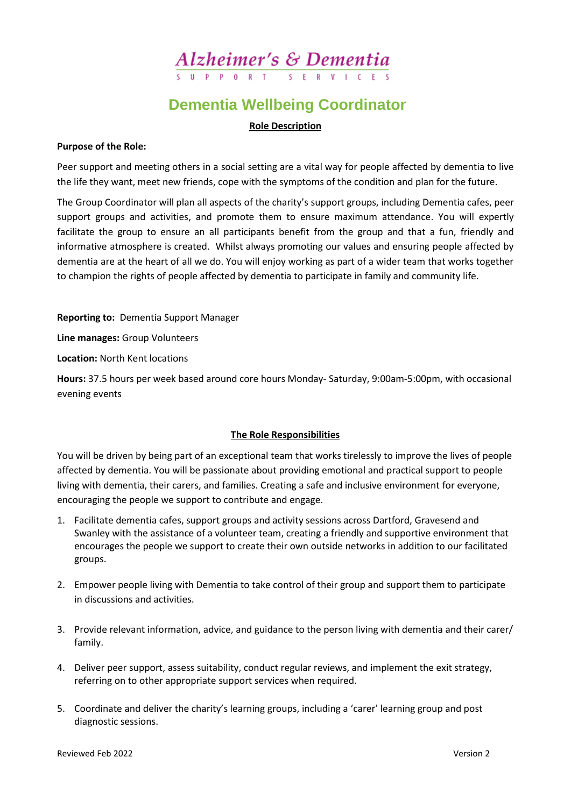## Alzheimer's & Dementia

## **Dementia Wellbeing Coordinator**

#### **Role Description**

#### **Purpose of the Role:**

Peer support and meeting others in a social setting are a vital way for people affected by dementia to live the life they want, meet new friends, cope with the symptoms of the condition and plan for the future.

The Group Coordinator will plan all aspects of the charity's support groups, including Dementia cafes, peer support groups and activities, and promote them to ensure maximum attendance. You will expertly facilitate the group to ensure an all participants benefit from the group and that a fun, friendly and informative atmosphere is created. Whilst always promoting our values and ensuring people affected by dementia are at the heart of all we do. You will enjoy working as part of a wider team that works together to champion the rights of people affected by dementia to participate in family and community life.

**Reporting to:** Dementia Support Manager

**Line manages:** Group Volunteers

**Location:** North Kent locations

**Hours:** 37.5 hours per week based around core hours Monday- Saturday, 9:00am-5:00pm, with occasional evening events

#### **The Role Responsibilities**

You will be driven by being part of an exceptional team that works tirelessly to improve the lives of people affected by dementia. You will be passionate about providing emotional and practical support to people living with dementia, their carers, and families. Creating a safe and inclusive environment for everyone, encouraging the people we support to contribute and engage.

- 1. Facilitate dementia cafes, support groups and activity sessions across Dartford, Gravesend and Swanley with the assistance of a volunteer team, creating a friendly and supportive environment that encourages the people we support to create their own outside networks in addition to our facilitated groups.
- 2. Empower people living with Dementia to take control of their group and support them to participate in discussions and activities.
- 3. Provide relevant information, advice, and guidance to the person living with dementia and their carer/ family.
- 4. Deliver peer support, assess suitability, conduct regular reviews, and implement the exit strategy, referring on to other appropriate support services when required.
- 5. Coordinate and deliver the charity's learning groups, including a 'carer' learning group and post diagnostic sessions.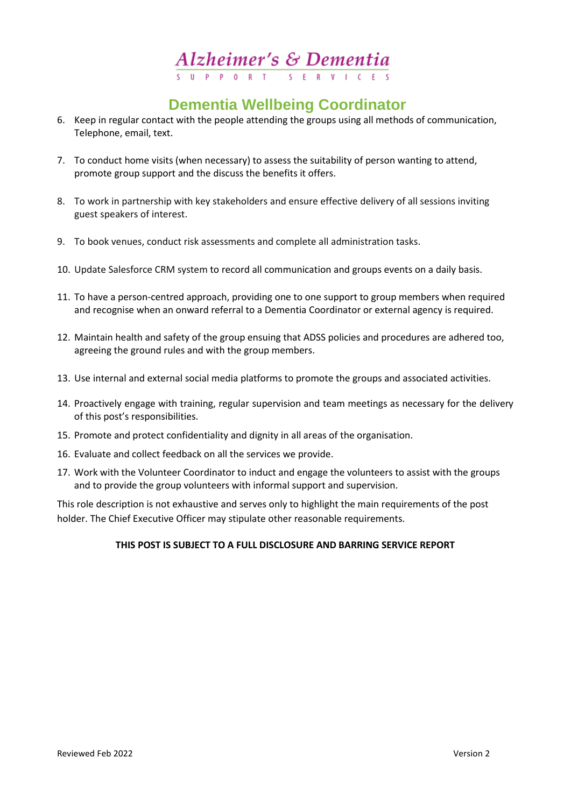# $**Alzheimer's** ***Se*** **De mentia**  $\frac{1}{s} \frac{1}{s} \frac{1}{s} \frac{1}{s} \frac{1}{s} \frac{1}{s} \frac{1}{s} \frac{1}{s} \frac{1}{s} \frac{1}{s} \frac{1}{s} \frac{1}{s} \frac{1}{s} \frac{1}{s} \frac{1}{s} \frac{1}{s} \frac{1}{s} \frac{1}{s} \frac{1}{s} \frac{1}{s} \frac{1}{s} \frac{1}{s} \frac{1}{s} \frac{1}{s} \frac{1}{s} \frac{$ </u>$

## **Dementia Wellbeing Coordinator**

- 6. Keep in regular contact with the people attending the groups using all methods of communication, Telephone, email, text.
- 7. To conduct home visits (when necessary) to assess the suitability of person wanting to attend, promote group support and the discuss the benefits it offers.
- 8. To work in partnership with key stakeholders and ensure effective delivery of all sessions inviting guest speakers of interest.
- 9. To book venues, conduct risk assessments and complete all administration tasks.
- 10. Update Salesforce CRM system to record all communication and groups events on a daily basis.
- 11. To have a person-centred approach, providing one to one support to group members when required and recognise when an onward referral to a Dementia Coordinator or external agency is required.
- 12. Maintain health and safety of the group ensuing that ADSS policies and procedures are adhered too, agreeing the ground rules and with the group members.
- 13. Use internal and external social media platforms to promote the groups and associated activities.
- 14. Proactively engage with training, regular supervision and team meetings as necessary for the delivery of this post's responsibilities.
- 15. Promote and protect confidentiality and dignity in all areas of the organisation.
- 16. Evaluate and collect feedback on all the services we provide.
- 17. Work with the Volunteer Coordinator to induct and engage the volunteers to assist with the groups and to provide the group volunteers with informal support and supervision.

This role description is not exhaustive and serves only to highlight the main requirements of the post holder. The Chief Executive Officer may stipulate other reasonable requirements.

#### **THIS POST IS SUBJECT TO A FULL DISCLOSURE AND BARRING SERVICE REPORT**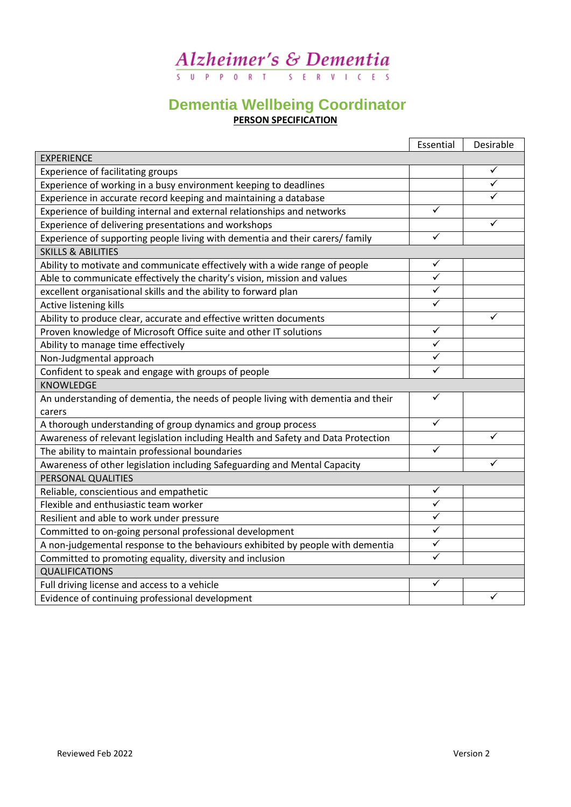# Alzheimer's & Dementia

### **Dementia Wellbeing Coordinator PERSON SPECIFICATION**

|                                                                                                       | Essential               | Desirable |  |
|-------------------------------------------------------------------------------------------------------|-------------------------|-----------|--|
| <b>EXPERIENCE</b>                                                                                     |                         |           |  |
| Experience of facilitating groups                                                                     |                         | ✓         |  |
| Experience of working in a busy environment keeping to deadlines                                      |                         | ✓         |  |
| Experience in accurate record keeping and maintaining a database                                      |                         | ✓         |  |
| Experience of building internal and external relationships and networks                               |                         |           |  |
| Experience of delivering presentations and workshops                                                  |                         | ✓         |  |
| $\blacktriangledown$<br>Experience of supporting people living with dementia and their carers/ family |                         |           |  |
| <b>SKILLS &amp; ABILITIES</b>                                                                         |                         |           |  |
| Ability to motivate and communicate effectively with a wide range of people                           | ✓                       |           |  |
| Able to communicate effectively the charity's vision, mission and values                              | $\checkmark$            |           |  |
| excellent organisational skills and the ability to forward plan                                       | $\blacktriangledown$    |           |  |
| Active listening kills                                                                                | ✓                       |           |  |
| Ability to produce clear, accurate and effective written documents                                    |                         | ✓         |  |
| Proven knowledge of Microsoft Office suite and other IT solutions                                     | $\checkmark$            |           |  |
| Ability to manage time effectively                                                                    | $\overline{\checkmark}$ |           |  |
| Non-Judgmental approach                                                                               | ✓                       |           |  |
| Confident to speak and engage with groups of people                                                   | $\checkmark$            |           |  |
| <b>KNOWLEDGE</b>                                                                                      |                         |           |  |
| An understanding of dementia, the needs of people living with dementia and their                      | $\checkmark$            |           |  |
| carers                                                                                                |                         |           |  |
| A thorough understanding of group dynamics and group process                                          | ✓                       |           |  |
| Awareness of relevant legislation including Health and Safety and Data Protection                     |                         | ✓         |  |
| The ability to maintain professional boundaries                                                       |                         |           |  |
| Awareness of other legislation including Safeguarding and Mental Capacity                             |                         | ✓         |  |
| PERSONAL QUALITIES                                                                                    |                         |           |  |
| Reliable, conscientious and empathetic                                                                | $\checkmark$            |           |  |
| Flexible and enthusiastic team worker                                                                 | $\overline{\checkmark}$ |           |  |
| Resilient and able to work under pressure                                                             | $\overline{\checkmark}$ |           |  |
| Committed to on-going personal professional development                                               | ✓                       |           |  |
| A non-judgemental response to the behaviours exhibited by people with dementia                        | $\checkmark$            |           |  |
| Committed to promoting equality, diversity and inclusion                                              | ✓                       |           |  |
| <b>QUALIFICATIONS</b>                                                                                 |                         |           |  |
| Full driving license and access to a vehicle                                                          | ✓                       |           |  |
| Evidence of continuing professional development                                                       |                         | ✓         |  |